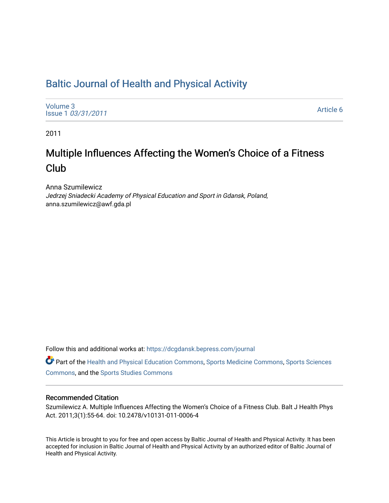# [Baltic Journal of Health and Physical Activity](https://dcgdansk.bepress.com/journal)

[Volume 3](https://dcgdansk.bepress.com/journal/vol3) Issue 1 [03/31/2011](https://dcgdansk.bepress.com/journal/vol3/iss1)

[Article 6](https://dcgdansk.bepress.com/journal/vol3/iss1/6) 

2011

# Multiple Influences Affecting the Women's Choice of a Fitness Club

Anna Szumilewicz Jedrzej Sniadecki Academy of Physical Education and Sport in Gdansk, Poland, anna.szumilewicz@awf.gda.pl

Follow this and additional works at: [https://dcgdansk.bepress.com/journal](https://dcgdansk.bepress.com/journal?utm_source=dcgdansk.bepress.com%2Fjournal%2Fvol3%2Fiss1%2F6&utm_medium=PDF&utm_campaign=PDFCoverPages)

Part of the [Health and Physical Education Commons](http://network.bepress.com/hgg/discipline/1327?utm_source=dcgdansk.bepress.com%2Fjournal%2Fvol3%2Fiss1%2F6&utm_medium=PDF&utm_campaign=PDFCoverPages), [Sports Medicine Commons,](http://network.bepress.com/hgg/discipline/1331?utm_source=dcgdansk.bepress.com%2Fjournal%2Fvol3%2Fiss1%2F6&utm_medium=PDF&utm_campaign=PDFCoverPages) [Sports Sciences](http://network.bepress.com/hgg/discipline/759?utm_source=dcgdansk.bepress.com%2Fjournal%2Fvol3%2Fiss1%2F6&utm_medium=PDF&utm_campaign=PDFCoverPages) [Commons](http://network.bepress.com/hgg/discipline/759?utm_source=dcgdansk.bepress.com%2Fjournal%2Fvol3%2Fiss1%2F6&utm_medium=PDF&utm_campaign=PDFCoverPages), and the [Sports Studies Commons](http://network.bepress.com/hgg/discipline/1198?utm_source=dcgdansk.bepress.com%2Fjournal%2Fvol3%2Fiss1%2F6&utm_medium=PDF&utm_campaign=PDFCoverPages) 

#### Recommended Citation

Szumilewicz A. Multiple Influences Affecting the Women's Choice of a Fitness Club. Balt J Health Phys Act. 2011;3(1):55-64. doi: 10.2478/v10131-011-0006-4

This Article is brought to you for free and open access by Baltic Journal of Health and Physical Activity. It has been accepted for inclusion in Baltic Journal of Health and Physical Activity by an authorized editor of Baltic Journal of Health and Physical Activity.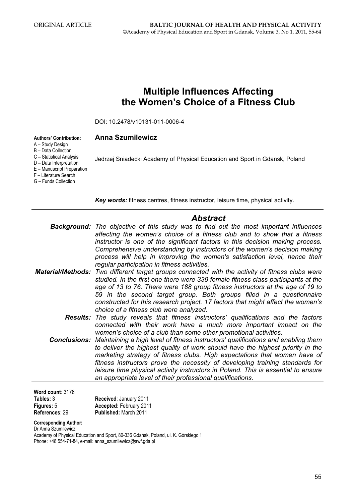|                                                                                                                                                                                                                | <b>Multiple Influences Affecting</b><br>the Women's Choice of a Fitness Club                                                                                                                                                                                                                                                                                                                                                                                                                                                                                                                                                                                                                                                                          |
|----------------------------------------------------------------------------------------------------------------------------------------------------------------------------------------------------------------|-------------------------------------------------------------------------------------------------------------------------------------------------------------------------------------------------------------------------------------------------------------------------------------------------------------------------------------------------------------------------------------------------------------------------------------------------------------------------------------------------------------------------------------------------------------------------------------------------------------------------------------------------------------------------------------------------------------------------------------------------------|
|                                                                                                                                                                                                                | DOI: 10.2478/v10131-011-0006-4                                                                                                                                                                                                                                                                                                                                                                                                                                                                                                                                                                                                                                                                                                                        |
| <b>Authors' Contribution:</b><br>A - Study Design<br>B - Data Collection<br>C - Statistical Analysis<br>D - Data Interpretation<br>E - Manuscript Preparation<br>F - Literature Search<br>G - Funds Collection | <b>Anna Szumilewicz</b><br>Jedrzej Sniadecki Academy of Physical Education and Sport in Gdansk, Poland                                                                                                                                                                                                                                                                                                                                                                                                                                                                                                                                                                                                                                                |
|                                                                                                                                                                                                                | Key words: fitness centres, fitness instructor, leisure time, physical activity.                                                                                                                                                                                                                                                                                                                                                                                                                                                                                                                                                                                                                                                                      |
|                                                                                                                                                                                                                | <b>Abstract</b><br><b>Background:</b> The objective of this study was to find out the most important influences<br>affecting the women's choice of a fitness club and to show that a fitness                                                                                                                                                                                                                                                                                                                                                                                                                                                                                                                                                          |
| <b>Material/Methods:</b>                                                                                                                                                                                       | instructor is one of the significant factors in this decision making process.<br>Comprehensive understanding by instructors of the women's decision making<br>process will help in improving the women's satisfaction level, hence their<br>regular participation in fitness activities.<br>Two different target groups connected with the activity of fitness clubs were<br>studied. In the first one there were 339 female fitness class participants at the<br>age of 13 to 76. There were 188 group fitness instructors at the age of 19 to<br>59 in the second target group. Both groups filled in a questionnaire<br>constructed for this research project. 17 factors that might affect the women's<br>choice of a fitness club were analyzed. |
| <b>Results:</b>                                                                                                                                                                                                | The study reveals that fitness instructors' qualifications and the factors<br>connected with their work have a much more important impact on the<br>women's choice of a club than some other promotional activities.                                                                                                                                                                                                                                                                                                                                                                                                                                                                                                                                  |
|                                                                                                                                                                                                                | <b>Conclusions:</b> Maintaining a high level of fitness instructors' qualifications and enabling them<br>to deliver the highest quality of work should have the highest priority in the<br>marketing strategy of fitness clubs. High expectations that women have of<br>fitness instructors prove the necessity of developing training standards for<br>leisure time physical activity instructors in Poland. This is essential to ensure<br>an appropriate level of their professional qualifications.                                                                                                                                                                                                                                               |
| Word count: 3176<br>Tables: 3<br>Figures: 5<br>References: 29                                                                                                                                                  | Received: January 2011<br>Accepted: February 2011<br>Published: March 2011                                                                                                                                                                                                                                                                                                                                                                                                                                                                                                                                                                                                                                                                            |

Corresponding Author:

Dr Anna Szumilewicz Academy of Physical Education and Sport, 80-336 Gdańsk, Poland, ul. K. Górskiego 1 Phone: +48 554-71-84, e-mail: anna\_szumilewicz@awf.gda.pl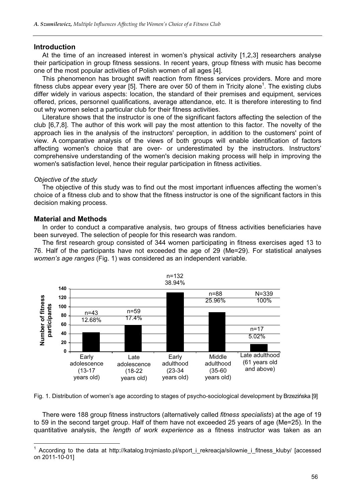#### Introduction

At the time of an increased interest in women's physical activity [1,2,3] researchers analyse their participation in group fitness sessions. In recent years, group fitness with music has become one of the most popular activities of Polish women of all ages [4].

This phenomenon has brought swift reaction from fitness services providers. More and more fitness clubs appear every year [5]. There are over 50 of them in Tricity alone<sup>1</sup>. The existing clubs differ widely in various aspects: location, the standard of their premises and equipment, services offered, prices, personnel qualifications, average attendance, etc. It is therefore interesting to find out why women select a particular club for their fitness activities.

Literature shows that the instructor is one of the significant factors affecting the selection of the club [6,7,8]. The author of this work will pay the most attention to this factor. The novelty of the approach lies in the analysis of the instructors' perception, in addition to the customers' point of view. A comparative analysis of the views of both groups will enable identification of factors affecting women's choice that are over- or underestimated by the instructors. Instructors' comprehensive understanding of the women's decision making process will help in improving the women's satisfaction level, hence their regular participation in fitness activities.

#### Objective of the study

The objective of this study was to find out the most important influences affecting the women's choice of a fitness club and to show that the fitness instructor is one of the significant factors in this decision making process.

# Material and Methods

In order to conduct a comparative analysis, two groups of fitness activities beneficiaries have been surveyed. The selection of people for this research was random.

The first research group consisted of 344 women participating in fitness exercises aged 13 to 76. Half of the participants have not exceeded the age of 29 (Me=29). For statistical analyses women's age ranges (Fig. 1) was considered as an independent variable.



Fig. 1. Distribution of women's age according to stages of psycho-sociological development by Brzezińska [9]

There were 188 group fitness instructors (alternatively called fitness specialists) at the age of 19 to 59 in the second target group. Half of them have not exceeded 25 years of age (Me=25). In the quantitative analysis, the length of work experience as a fitness instructor was taken as an

<sup>1</sup> According to the data at http://katalog.trojmiasto.pl/sport\_i\_rekreacja/silownie\_i\_fitness\_kluby/ [accessed on 2011-10-01]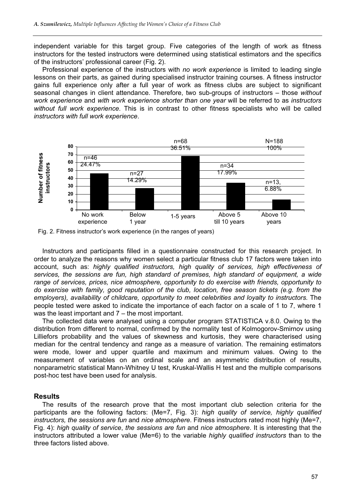independent variable for this target group. Five categories of the length of work as fitness instructors for the tested instructors were determined using statistical estimators and the specifics of the instructors' professional career (Fig. 2).

Professional experience of the instructors with no work experience is limited to leading single lessons on their parts, as gained during specialised instructor training courses. A fitness instructor gains full experience only after a full year of work as fitness clubs are subject to significant seasonal changes in client attendance. Therefore, two sub-groups of instructors – those without work experience and with work experience shorter than one year will be referred to as instructors without full work experience. This is in contrast to other fitness specialists who will be called instructors with full work experience.



Fig. 2. Fitness instructor's work experience (in the ranges of years)

Instructors and participants filled in a questionnaire constructed for this research project. In order to analyze the reasons why women select a particular fitness club 17 factors were taken into account, such as: highly qualified instructors, high quality of services, high effectiveness of services, the sessions are fun, high standard of premises, high standard of equipment, a wide range of services, prices, nice atmosphere, opportunity to do exercise with friends, opportunity to do exercise with family, good reputation of the club, location, free season tickets (e.g. from the employers), availability of childcare, opportunity to meet celebrities and loyalty to instructors. The people tested were asked to indicate the importance of each factor on a scale of 1 to 7, where 1 was the least important and 7 – the most important.

The collected data were analysed using a computer program STATISTICA v.8.0. Owing to the distribution from different to normal, confirmed by the normality test of Kolmogorov-Smirnov using Lilliefors probability and the values of skewness and kurtosis, they were characterised using median for the central tendency and range as a measure of variation. The remaining estimators were mode, lower and upper quartile and maximum and minimum values. Owing to the measurement of variables on an ordinal scale and an asymmetric distribution of results, nonparametric statistical Mann-Whitney U test, Kruskal-Wallis H test and the multiple comparisons post-hoc test have been used for analysis.

# **Results**

The results of the research prove that the most important club selection criteria for the participants are the following factors: (Me=7, Fig. 3): high quality of service, highly qualified instructors, the sessions are fun and nice atmosphere. Fitness instructors rated most highly (Me=7, Fig. 4): high quality of service, the sessions are fun and nice atmosphere. It is interesting that the instructors attributed a lower value (Me=6) to the variable highly qualified instructors than to the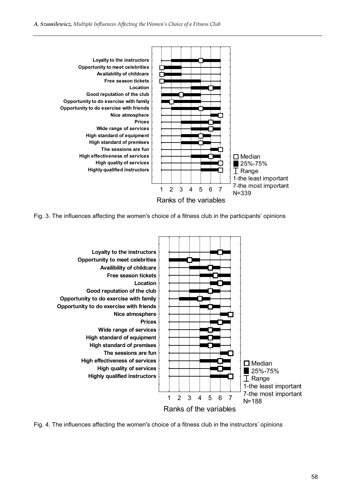

Fig. 3. The influences affecting the women's choice of a fitness club in the participants' opinions



Fig. 4. The influences affecting the women's choice of a fitness club in the instructors' opinions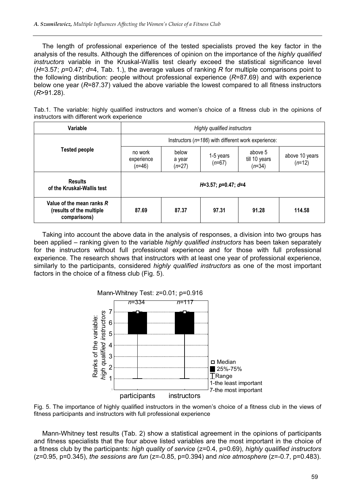The length of professional experience of the tested specialists proved the key factor in the analysis of the results. Although the differences of opinion on the importance of the highly qualified instructors variable in the Kruskal-Wallis test clearly exceed the statistical significance level  $(H=3.57; p=0.47; d=4$ . Tab. 1.), the average values of ranking R for multiple comparisons point to the following distribution: people without professional experience  $(R=87.69)$  and with experience below one year ( $R=87.37$ ) valued the above variable the lowest compared to all fitness instructors  $(R > 91.28)$ .

Tab.1. The variable: highly qualified instructors and women's choice of a fitness club in the opinions of instructors with different work experience

| Variable                                                              | Highly qualified instructors                            |                             |                       |                                      |                            |  |
|-----------------------------------------------------------------------|---------------------------------------------------------|-----------------------------|-----------------------|--------------------------------------|----------------------------|--|
|                                                                       | Instructors ( $n=186$ ) with different work experience: |                             |                       |                                      |                            |  |
| <b>Tested people</b>                                                  | no work<br>experience<br>$(n=46)$                       | below<br>a year<br>$(n=27)$ | 1-5 years<br>$(n=67)$ | above 5<br>till 10 years<br>$(n=34)$ | above 10 years<br>$(n=12)$ |  |
| <b>Results</b><br>of the Kruskal-Wallis test                          | $H=3.57$ ; $p=0.47$ ; $d=4$                             |                             |                       |                                      |                            |  |
| Value of the mean ranks R<br>(results of the multiple<br>comparisons) | 87.69                                                   | 87.37                       | 97.31                 | 91.28                                | 114.58                     |  |

Taking into account the above data in the analysis of responses, a division into two groups has been applied – ranking given to the variable highly qualified instructors has been taken separately for the instructors without full professional experience and for those with full professional experience. The research shows that instructors with at least one year of professional experience, similarly to the participants, considered *highly qualified instructors* as one of the most important factors in the choice of a fitness club (Fig. 5).



Fig. 5. The importance of highly qualified instructors in the women's choice of a fitness club in the views of fitness participants and instructors with full professional experience

Mann-Whitney test results (Tab. 2) show a statistical agreement in the opinions of participants and fitness specialists that the four above listed variables are the most important in the choice of a fitness club by the participants: high quality of service (z=0.4, p=0.69), highly qualified instructors  $(z=0.95, p=0.345)$ , the sessions are fun  $(z=-0.85, p=0.394)$  and nice atmosphere  $(z=-0.7, p=0.483)$ .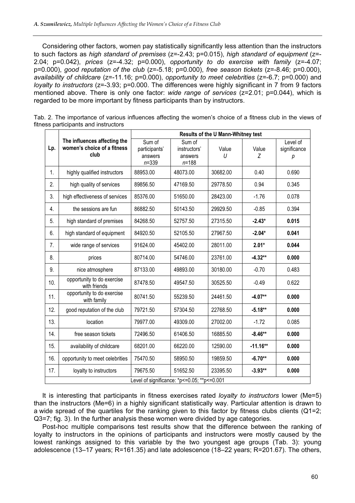Considering other factors, women pay statistically significantly less attention than the instructors to such factors as high standard of premises (z=-2.43; p=0.015), high standard of equipment (z=- 2.04;  $p=0.042$ ), prices ( $z=-4.32$ ;  $p=0.000$ ), opportunity to do exercise with family ( $z=-4.07$ ;  $p=0.000$ ), good reputation of the club ( $z=-5.18$ ;  $p=0.000$ ), free season tickets ( $z=-8.46$ ;  $p=0.000$ ), availability of childcare (z=-11.16; p=0.000), opportunity to meet celebrities (z=-6.7; p=0.000) and loyalty to instructors (z=-3.93; p=0.000. The differences were highly significant in 7 from 9 factors mentioned above. There is only one factor: wide range of services (z=2.01; p=0.044), which is regarded to be more important by fitness participants than by instructors.

|                                                 |                                                                     | Results of the U Mann-Whitney test              |                                                |            |            |                               |  |
|-------------------------------------------------|---------------------------------------------------------------------|-------------------------------------------------|------------------------------------------------|------------|------------|-------------------------------|--|
| Lp.                                             | The influences affecting the<br>women's choice of a fitness<br>club | Sum of<br>participants'<br>answers<br>$n = 339$ | Sum of<br>instructors'<br>answers<br>$n = 188$ | Value<br>U | Value<br>Z | Level of<br>significance<br>р |  |
| $\mathbf{1}$ .                                  | highly qualified instructors                                        | 88953.00                                        | 48073.00                                       | 30682.00   | 0.40       | 0.690                         |  |
| 2.                                              | high quality of services                                            | 89856.50                                        | 47169.50                                       | 29778.50   | 0.94       | 0.345                         |  |
| 3.                                              | high effectiveness of services                                      | 85376.00                                        | 51650.00                                       | 28423.00   | $-1.76$    | 0.078                         |  |
| 4.                                              | the sessions are fun                                                | 86882.50                                        | 50143.50                                       | 29929.50   | $-0.85$    | 0.394                         |  |
| 5.                                              | high standard of premises                                           | 84268.50                                        | 52757.50                                       | 27315.50   | $-2.43*$   | 0.015                         |  |
| 6.                                              | high standard of equipment                                          | 84920.50                                        | 52105.50                                       | 27967.50   | $-2.04*$   | 0.041                         |  |
| 7.                                              | wide range of services                                              | 91624.00                                        | 45402.00                                       | 28011.00   | $2.01*$    | 0.044                         |  |
| 8.                                              | prices                                                              | 80714.00                                        | 54746.00                                       | 23761.00   | $-4.32**$  | 0.000                         |  |
| 9.                                              | nice atmosphere                                                     | 87133.00                                        | 49893.00                                       | 30180.00   | $-0.70$    | 0.483                         |  |
| 10.                                             | opportunity to do exercise<br>with friends                          | 87478.50                                        | 49547.50                                       | 30525.50   | $-0.49$    | 0.622                         |  |
| 11.                                             | opportunity to do exercise<br>with family                           | 80741.50                                        | 55239.50                                       | 24461.50   | $-4.07**$  | 0.000                         |  |
| 12.                                             | good reputation of the club                                         | 79721.50                                        | 57304.50                                       | 22768.50   | $-5.18**$  | 0.000                         |  |
| 13.                                             | location                                                            | 79977.00                                        | 49309.00                                       | 27002.00   | $-1.72$    | 0.085                         |  |
| 14.                                             | free season tickets                                                 | 72496.50                                        | 61406.50                                       | 16885.50   | $-8.46**$  | 0.000                         |  |
| 15.                                             | availability of childcare                                           | 68201.00                                        | 66220.00                                       | 12590.00   | $-11.16**$ | 0.000                         |  |
| 16.                                             | opportunity to meet celebrities                                     | 75470.50                                        | 58950.50                                       | 19859.50   | $-6.70**$  | 0.000                         |  |
| 17.                                             | loyalty to instructors                                              | 79675.50                                        | 51652.50                                       | 23395.50   | $-3.93**$  | 0.000                         |  |
| Level of significance: *p <= 0.05; **p <= 0.001 |                                                                     |                                                 |                                                |            |            |                               |  |

Tab. 2. The importance of various influences affecting the women's choice of a fitness club in the views of fitness participants and instructors

It is interesting that participants in fitness exercises rated *lovalty to instructors* lower (Me=5) than the instructors (Me=6) in a highly significant statistically way. Particular attention is drawn to a wide spread of the quartiles for the ranking given to this factor by fitness clubs clients (Q1=2; Q3=7; fig. 3). In the further analysis these women were divided by age categories.

Post-hoc multiple comparisons test results show that the difference between the ranking of loyalty to instructors in the opinions of participants and instructors were mostly caused by the lowest rankings assigned to this variable by the two youngest age groups (Tab. 3): young adolescence (13–17 years; R=161.35) and late adolescence (18–22 years; R=201.67). The others,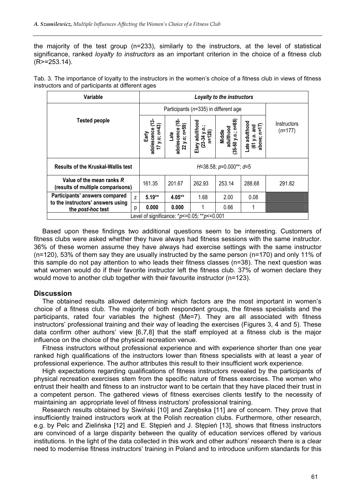the majority of the test group (n=233), similarly to the instructors, at the level of statistical significance, ranked *loyalty to instructors* as an important criterion in the choice of a fitness club (R>=253.14).

| Tab. 3. The importance of loyalty to the instructors in the women's choice of a fitness club in views of fitness |  |
|------------------------------------------------------------------------------------------------------------------|--|
| instructors and of participants at different ages                                                                |  |

| Variable                                                       |                | Loyalty to the instructors                                  |                                           |                                             |                                                  |                                                 |                          |
|----------------------------------------------------------------|----------------|-------------------------------------------------------------|-------------------------------------------|---------------------------------------------|--------------------------------------------------|-------------------------------------------------|--------------------------|
| <b>Tested people</b>                                           |                | Participants ( $n=335$ ) in different age                   |                                           |                                             |                                                  |                                                 |                          |
|                                                                |                | ∾<br>ົຕ<br>adolescence<br>$y.o; n=4$<br>Early<br>$\ddot{ }$ | ৼ<br>22 y.o; n=59)<br>adolescence<br>Late | adulthood<br>$(23-34 y.o.;$ n=128)<br>Elary | y.o.; n=88<br>adulthood<br>Middle<br>$(35 - 60)$ | ate adulthood<br>above; n=17)<br>$(61 y.o.$ and | Instructors<br>$(n=177)$ |
| <b>Results of the Kruskal-Wallis test</b>                      |                | $H=38.58$ ; $p=0.000**$ ; $d=5$                             |                                           |                                             |                                                  |                                                 |                          |
| Value of the mean ranks R<br>(results of multiple comparisons) |                | 161.35                                                      | 201.67                                    | 262.93                                      | 253.14                                           | 288.68                                          | 291.82                   |
| Participants' answers compared                                 | $\overline{z}$ | $5.19**$                                                    | $4.05**$                                  | 1.68                                        | 2.00                                             | 0.08                                            |                          |
| to the instructors' answers using<br>the post-hoc test         | р              | 0.000                                                       | 0.000                                     | 1                                           | 0.66                                             |                                                 |                          |
| Level of significance: $p \le 0.05$ ; $\sqrt[k]{p} \le 0.001$  |                |                                                             |                                           |                                             |                                                  |                                                 |                          |

Based upon these findings two additional questions seem to be interesting. Customers of fitness clubs were asked whether they have always had fitness sessions with the same instructor. 36% of these women assume they have always had exercise settings with the same instructor (n=120), 53% of them say they are usually instructed by the same person (n=170) and only 11% of this sample do not pay attention to who leads their fitness classes (n=38). The next question was what women would do if their favorite instructor left the fitness club. 37% of women declare they would move to another club together with their favourite instructor (n=123).

# **Discussion**

The obtained results allowed determining which factors are the most important in women's choice of a fitness club. The majority of both respondent groups, the fitness specialists and the participants, rated four variables the highest (Me=7). They are all associated with fitness instructors' professional training and their way of leading the exercises (Figures 3, 4 and 5). These data confirm other authors' view [6,7,8] that the staff employed at a fitness club is the major influence on the choice of the physical recreation venue.

Fitness instructors without professional experience and with experience shorter than one year ranked high qualifications of the instructors lower than fitness specialists with at least a year of professional experience. The author attributes this result to their insufficient work experience.

High expectations regarding qualifications of fitness instructors revealed by the participants of physical recreation exercises stem from the specific nature of fitness exercises. The women who entrust their health and fitness to an instructor want to be certain that they have placed their trust in a competent person. The gathered views of fitness exercises clients testify to the necessity of maintaining an appropriate level of fitness instructors' professional training.

Research results obtained by Siwiński [10] and Zarębska [11] are of concern. They prove that insufficiently trained instructors work at the Polish recreation clubs. Furthermore, other research, e.g. by Pelc and Zielińska [12] and E. Stępień and J. Stępień [13], shows that fitness instructors are convinced of a large disparity between the quality of education services offered by various institutions. In the light of the data collected in this work and other authors' research there is a clear need to modernise fitness instructors' training in Poland and to introduce uniform standards for this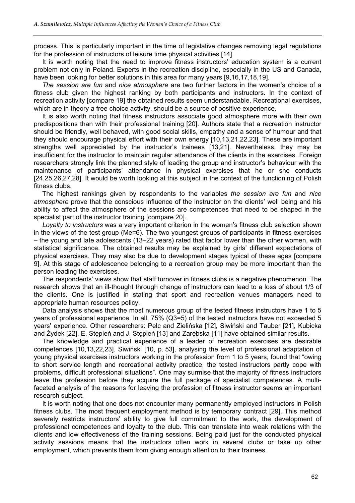process. This is particularly important in the time of legislative changes removing legal regulations for the profession of instructors of leisure time physical activities [14].

It is worth noting that the need to improve fitness instructors' education system is a current problem not only in Poland. Experts in the recreation discipline, especially in the US and Canada, have been looking for better solutions in this area for many years [9,16,17,18,19].

The session are fun and nice atmosphere are two further factors in the women's choice of a fitness club given the highest ranking by both participants and instructors. In the context of recreation activity [compare 19] the obtained results seem understandable. Recreational exercises, which are in theory a free choice activity, should be a source of positive experience.

It is also worth noting that fitness instructors associate good atmosphere more with their own predispositions than with their professional training [20]. Authors state that a recreation instructor should be friendly, well behaved, with good social skills, empathy and a sense of humour and that they should encourage physical effort with their own energy [10,13,21,22,23]. These are important strengths well appreciated by the instructor's trainees [13,21]. Nevertheless, they may be insufficient for the instructor to maintain regular attendance of the clients in the exercises. Foreign researchers strongly link the planned style of leading the group and instructor's behaviour with the maintenance of participants' attendance in physical exercises that he or she conducts [24,25,26,27,28]. It would be worth looking at this subject in the context of the functioning of Polish fitness clubs.

The highest rankings given by respondents to the variables the session are fun and nice atmosphere prove that the conscious influence of the instructor on the clients' well being and his ability to affect the atmosphere of the sessions are competences that need to be shaped in the specialist part of the instructor training [compare 20].

Loyalty to instructors was a very important criterion in the women's fitness club selection shown in the views of the test group (Me=6). The two youngest groups of participants in fitness exercises – the young and late adolescents (13–22 years) rated that factor lower than the other women, with statistical significance. The obtained results may be explained by girls' different expectations of physical exercises. They may also be due to development stages typical of these ages [compare 9]. At this stage of adolescence belonging to a recreation group may be more important than the person leading the exercises.

The respondents' views show that staff turnover in fitness clubs is a negative phenomenon. The research shows that an ill-thought through change of instructors can lead to a loss of about 1/3 of the clients. One is justified in stating that sport and recreation venues managers need to appropriate human resources policy.

Data analysis shows that the most numerous group of the tested fitness instructors have 1 to 5 years of professional experience. In all, 75% (Q3=5) of the tested instructors have not exceeded 5 years' experience. Other researchers: Pelc and Zielińska [12], Siwiński and Tauber [21], Kubicka and Żydek [22], E. Stępień and J. Stępień [13] and Zarębska [11] have obtained similar results.

The knowledge and practical experience of a leader of recreation exercises are desirable competences [10,13,22,23]. Siwiński [10, p. 53], analysing the level of professional adaptation of young physical exercises instructors working in the profession from 1 to 5 years, found that "owing to short service length and recreational activity practice, the tested instructors partly cope with problems, difficult professional situations". One may surmise that the majority of fitness instructors leave the profession before they acquire the full package of specialist competences. A multifaceted analysis of the reasons for leaving the profession of fitness instructor seems an important research subject.

It is worth noting that one does not encounter many permanently employed instructors in Polish fitness clubs. The most frequent employment method is by temporary contract [29]. This method severely restricts instructors' ability to give full commitment to the work, the development of professional competences and loyalty to the club. This can translate into weak relations with the clients and low effectiveness of the training sessions. Being paid just for the conducted physical activity sessions means that the instructors often work in several clubs or take up other employment, which prevents them from giving enough attention to their trainees.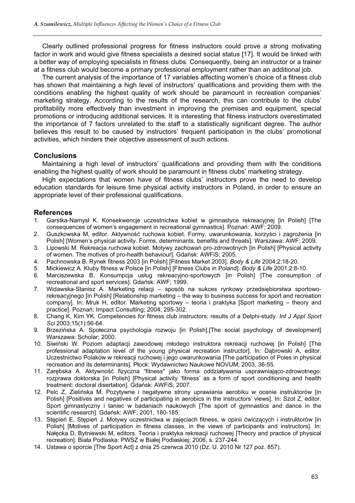Clearly outlined professional progress for fitness instructors could prove a strong motivating factor in work and would give fitness specialists a desired social status [17]. It would be linked with a better way of employing specialists in fitness clubs. Consequently, being an instructor or a trainer at a fitness club would become a primary professional employment rather than an additional job.

The current analysis of the importance of 17 variables affecting women's choice of a fitness club has shown that maintaining a high level of instructors' qualifications and providing them with the conditions enabling the highest quality of work should be paramount in recreation companies' marketing strategy. According to the results of the research, this can contribute to the clubs' profitability more effectively than investment in improving the premises and equipment, special promotions or introducing additional services. It is interesting that fitness instructors overestimated the importance of 7 factors unrelated to the staff to a statistically significant degree. The author believes this result to be caused by instructors' frequent participation in the clubs' promotional activities, which hinders their objective assessment of such actions.

# **Conclusions**

Maintaining a high level of instructors' qualifications and providing them with the conditions enabling the highest quality of work should be paramount in fitness clubs' marketing strategy.

High expectations that women have of fitness clubs' instructors prove the need to develop education standards for leisure time physical activity instructors in Poland, in order to ensure an appropriate level of their professional qualifications.

#### **References**

- 1. Garstka-Namysł K. Konsekwencje uczestnictwa kobiet w gimnastyce rekreacyjnej [in Polish] [The consequences of women's engagement in recreational gymnastics]. Poznań: AWF; 2009.
- 2. Guszkowska M, editor. Aktywność ruchowa kobiet. Formy, uwarunkowania, korzyści i zagrożenia [in Polish] [Women's physical activity. Forms, determinants, benefits and threats]. Warszawa: AWF; 2009.
- 3. Lipowski M. Rekreacja ruchowa kobiet. Motywy zachowań pro-zdrowotnych [in Polish] [Physical activity of women. The motives of pro-health behaviour]. Gdańsk: AWFiS; 2005.
- 4. Pachnowska B. Rynek fitness 2003 [in Polish] [Fitness Market 2003]. Body & Life 2004;2:18-20.
- 5. Mickiewicz A. Kluby fitness w Polsce [in Polish] [Fitness Clubs in Poland]. Body & Life 2001;2:8-10.
- 6. Marciszewska B. Konsumpcja usług rekreacyjno-sportowych [in Polish] [The consumption of recreational and sport services]. Gdańsk: AWF; 1999.
- 7. Widawska-Stanisz A. Marketing relacji sposób na sukces rynkowy przedsiębiorstwa sportoworekreacyjnego [in Polish] [Relationship marketing – the way to business success for sport and recreation company]. In: Mruk H, editor. Marketing sportowy – teoria i praktyka [Sport marketing – theory and practice]. Poznań: Impact Consulting; 2004, 295-302.
- 8. Chang K, Kim YK. Competencies for fitness club instructors: results of a Delphi-study. Int J Appl Sport Sci 2003;15(1):56-64.
- 9. Brzezińska A. Społeczna psychologia rozwoju [in Polish].[The social psychology of development] Warszawa: Scholar; 2000.
- 10. Siwiński W. Poziom adaptacji zawodowej młodego instruktora rekreacji ruchowej [in Polish] [The professional adaptation level of the young physical recreation instructor]. In: Dąbrowski A, editor. Uczestnictwo Polaków w rekreacji ruchowej i jego uwarunkowania [The participation of Poles in physical recreation and its determinants]. Płock: Wydawnictwo Naukowe NOVUM; 2003, 36-55.
- 11. Zarębska A. Aktywność fizyczna "fitness" jako forma oddziaływania usprawniająco-zdrowotnego: rozprawa doktorska [in Polish] [Physical activity 'fitness' as a form of sport conditioning and health treatment: doctoral disertation]. Gdańsk: AWFiS; 2007.
- 12. Pelc Z, Zielińska M. Pozytywne i negatywne strony uprawiania aerobiku w ocenie instruktorów [in Polish] [Positives and negatives of participating in aerobics in the instructors' views]. In: Szot Z, editor. Sport gimnastyczny i taniec w badaniach naukowych [The sport of gymnastics and dance in the scientific research]. Gdańsk: AWF; 2001, 180-185.
- 13. Stępień E, Stępień J. Motywy uczestnictwa w zajęciach fitness, w opinii ćwiczących i instruktorów [in Polish] [Motives of participation in fitness classes, in the views of participants and instructors]. In: Nałęcka D, Bytniewski M, editors. Teoria i praktyka rekreacji ruchowej [Theory and practice of physical recreation]. Biała Podlaska: PWSZ w Białej Podlaskiej; 2006, s. 237-244.
- 14. Ustawa o sporcie [The Sport Act] z dnia 25 czerwca 2010 (Dz. U. 2010 Nr 127 poz. 857).